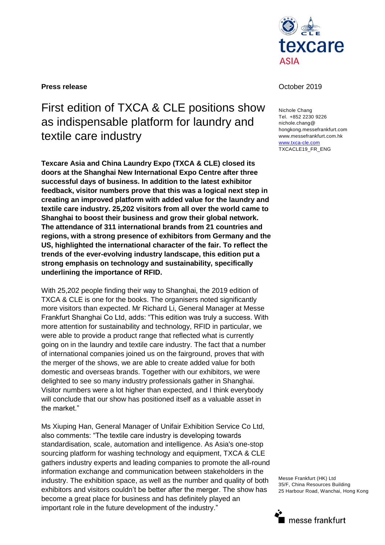

## **Press release October 2019**

# First edition of TXCA & CLE positions show as indispensable platform for laundry and textile care industry

**Texcare Asia and China Laundry Expo (TXCA & CLE) closed its doors at the Shanghai New International Expo Centre after three successful days of business. In addition to the latest exhibitor feedback, visitor numbers prove that this was a logical next step in creating an improved platform with added value for the laundry and textile care industry. 25,202 visitors from all over the world came to Shanghai to boost their business and grow their global network. The attendance of 311 international brands from 21 countries and regions, with a strong presence of exhibitors from Germany and the US, highlighted the international character of the fair. To reflect the trends of the ever-evolving industry landscape, this edition put a strong emphasis on technology and sustainability, specifically underlining the importance of RFID.**

With 25,202 people finding their way to Shanghai, the 2019 edition of TXCA & CLE is one for the books. The organisers noted significantly more visitors than expected. Mr Richard Li, General Manager at Messe Frankfurt Shanghai Co Ltd, adds: "This edition was truly a success. With more attention for sustainability and technology, RFID in particular, we were able to provide a product range that reflected what is currently going on in the laundry and textile care industry. The fact that a number of international companies joined us on the fairground, proves that with the merger of the shows, we are able to create added value for both domestic and overseas brands. Together with our exhibitors, we were delighted to see so many industry professionals gather in Shanghai. Visitor numbers were a lot higher than expected, and I think everybody will conclude that our show has positioned itself as a valuable asset in the market"

Ms Xiuping Han, General Manager of Unifair Exhibition Service Co Ltd, also comments: "The textile care industry is developing towards standardisation, scale, automation and intelligence. As Asia's one-stop sourcing platform for washing technology and equipment, TXCA & CLE gathers industry experts and leading companies to promote the all-round information exchange and communication between stakeholders in the industry. The exhibition space, as well as the number and quality of both exhibitors and visitors couldn't be better after the merger. The show has become a great place for business and has definitely played an important role in the future development of the industry."

Nichole Chang Tel. +852 2230 9226 nichole.chang@ hongkong.messefrankfurt.com www.messefrankfurt.com.hk [www.txca-cle.com](http://www.txca-cle.com/) TXCACLE19\_FR\_ENG

Messe Frankfurt (HK) Ltd 35/F, China Resources Building 25 Harbour Road, Wanchai, Hong Kong

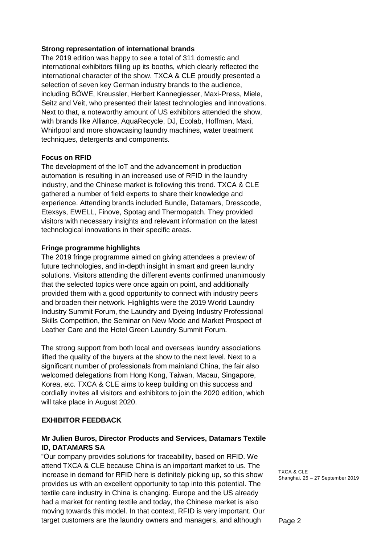#### **Strong representation of international brands**

The 2019 edition was happy to see a total of 311 domestic and international exhibitors filling up its booths, which clearly reflected the international character of the show. TXCA & CLE proudly presented a selection of seven key German industry brands to the audience, including BÖWE, Kreussler, Herbert Kannegiesser, Maxi-Press, Miele, Seitz and Veit, who presented their latest technologies and innovations. Next to that, a noteworthy amount of US exhibitors attended the show, with brands like Alliance, AquaRecycle, DJ, Ecolab, Hoffman, Maxi, Whirlpool and more showcasing laundry machines, water treatment techniques, detergents and components.

#### **Focus on RFID**

The development of the IoT and the advancement in production automation is resulting in an increased use of RFID in the laundry industry, and the Chinese market is following this trend. TXCA & CLE gathered a number of field experts to share their knowledge and experience. Attending brands included Bundle, Datamars, Dresscode, Etexsys, EWELL, Finove, Spotag and Thermopatch. They provided visitors with necessary insights and relevant information on the latest technological innovations in their specific areas.

#### **Fringe programme highlights**

The 2019 fringe programme aimed on giving attendees a preview of future technologies, and in-depth insight in smart and green laundry solutions. Visitors attending the different events confirmed unanimously that the selected topics were once again on point, and additionally provided them with a good opportunity to connect with industry peers and broaden their network. Highlights were the 2019 World Laundry Industry Summit Forum, the Laundry and Dyeing Industry Professional Skills Competition, the Seminar on New Mode and Market Prospect of Leather Care and the Hotel Green Laundry Summit Forum.

The strong support from both local and overseas laundry associations lifted the quality of the buyers at the show to the next level. Next to a significant number of professionals from mainland China, the fair also welcomed delegations from Hong Kong, Taiwan, Macau, Singapore, Korea, etc. TXCA & CLE aims to keep building on this success and cordially invites all visitors and exhibitors to join the 2020 edition, which will take place in August 2020.

#### **EXHIBITOR FEEDBACK**

# **Mr Julien Buros, Director Products and Services, Datamars Textile ID, DATAMARS SA**

"Our company provides solutions for traceability, based on RFID. We attend TXCA & CLE because China is an important market to us. The increase in demand for RFID here is definitely picking up, so this show provides us with an excellent opportunity to tap into this potential. The textile care industry in China is changing. Europe and the US already had a market for renting textile and today, the Chinese market is also moving towards this model. In that context, RFID is very important. Our target customers are the laundry owners and managers, and although

TXCA & CLE Shanghai, 25 – 27 September 2019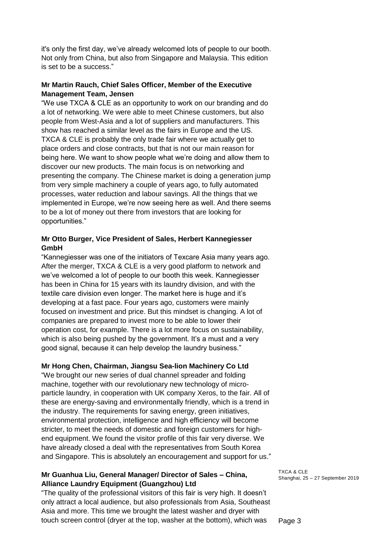it's only the first day, we've already welcomed lots of people to our booth. Not only from China, but also from Singapore and Malaysia. This edition is set to be a success."

# **Mr Martin Rauch, Chief Sales Officer, Member of the Executive Management Team, Jensen**

"We use TXCA & CLE as an opportunity to work on our branding and do a lot of networking. We were able to meet Chinese customers, but also people from West-Asia and a lot of suppliers and manufacturers. This show has reached a similar level as the fairs in Europe and the US. TXCA & CLE is probably the only trade fair where we actually get to place orders and close contracts, but that is not our main reason for being here. We want to show people what we're doing and allow them to discover our new products. The main focus is on networking and presenting the company. The Chinese market is doing a generation jump from very simple machinery a couple of years ago, to fully automated processes, water reduction and labour savings. All the things that we implemented in Europe, we're now seeing here as well. And there seems to be a lot of money out there from investors that are looking for opportunities."

# **Mr Otto Burger, Vice President of Sales, Herbert Kannegiesser GmbH**

"Kannegiesser was one of the initiators of Texcare Asia many years ago. After the merger, TXCA & CLE is a very good platform to network and we've welcomed a lot of people to our booth this week. Kannegiesser has been in China for 15 years with its laundry division, and with the textile care division even longer. The market here is huge and it's developing at a fast pace. Four years ago, customers were mainly focused on investment and price. But this mindset is changing. A lot of companies are prepared to invest more to be able to lower their operation cost, for example. There is a lot more focus on sustainability, which is also being pushed by the government. It's a must and a very good signal, because it can help develop the laundry business."

# **Mr Hong Chen, Chairman, Jiangsu Sea-lion Machinery Co Ltd**

"We brought our new series of dual channel spreader and folding machine, together with our revolutionary new technology of microparticle laundry, in cooperation with UK company Xeros, to the fair. All of these are energy-saving and environmentally friendly, which is a trend in the industry. The requirements for saving energy, green initiatives, environmental protection, intelligence and high efficiency will become stricter, to meet the needs of domestic and foreign customers for highend equipment. We found the visitor profile of this fair very diverse. We have already closed a deal with the representatives from South Korea and Singapore. This is absolutely an encouragement and support for us."

# **Mr Guanhua Liu, General Manager/ Director of Sales – China, Alliance Laundry Equipment (Guangzhou) Ltd**

"The quality of the professional visitors of this fair is very high. It doesn't only attract a local audience, but also professionals from Asia, Southeast Asia and more. This time we brought the latest washer and dryer with touch screen control (dryer at the top, washer at the bottom), which was

TXCA & CLE Shanghai, 25 – 27 September 2019

Page 3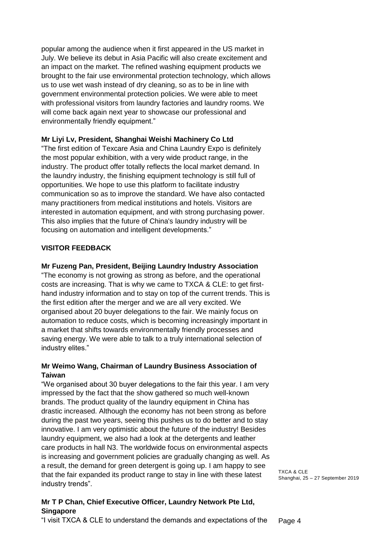popular among the audience when it first appeared in the US market in July. We believe its debut in Asia Pacific will also create excitement and an impact on the market. The refined washing equipment products we brought to the fair use environmental protection technology, which allows us to use wet wash instead of dry cleaning, so as to be in line with government environmental protection policies. We were able to meet with professional visitors from laundry factories and laundry rooms. We will come back again next year to showcase our professional and environmentally friendly equipment."

#### **Mr Liyi Lv, President, Shanghai Weishi Machinery Co Ltd**

"The first edition of Texcare Asia and China Laundry Expo is definitely the most popular exhibition, with a very wide product range, in the industry. The product offer totally reflects the local market demand. In the laundry industry, the finishing equipment technology is still full of opportunities. We hope to use this platform to facilitate industry communication so as to improve the standard. We have also contacted many practitioners from medical institutions and hotels. Visitors are interested in automation equipment, and with strong purchasing power. This also implies that the future of China's laundry industry will be focusing on automation and intelligent developments."

#### **VISITOR FEEDBACK**

#### **Mr Fuzeng Pan, President, Beijing Laundry Industry Association**

"The economy is not growing as strong as before, and the operational costs are increasing. That is why we came to TXCA & CLE: to get firsthand industry information and to stay on top of the current trends. This is the first edition after the merger and we are all very excited. We organised about 20 buyer delegations to the fair. We mainly focus on automation to reduce costs, which is becoming increasingly important in a market that shifts towards environmentally friendly processes and saving energy. We were able to talk to a truly international selection of industry elites."

# **Mr Weimo Wang, Chairman of Laundry Business Association of Taiwan**

"We organised about 30 buyer delegations to the fair this year. I am very impressed by the fact that the show gathered so much well-known brands. The product quality of the laundry equipment in China has drastic increased. Although the economy has not been strong as before during the past two years, seeing this pushes us to do better and to stay innovative. I am very optimistic about the future of the industry! Besides laundry equipment, we also had a look at the detergents and leather care products in hall N3. The worldwide focus on environmental aspects is increasing and government policies are gradually changing as well. As a result, the demand for green detergent is going up. I am happy to see that the fair expanded its product range to stay in line with these latest industry trends".

# **Mr T P Chan, Chief Executive Officer, Laundry Network Pte Ltd, Singapore**

TXCA & CLE Shanghai, 25 – 27 September 2019